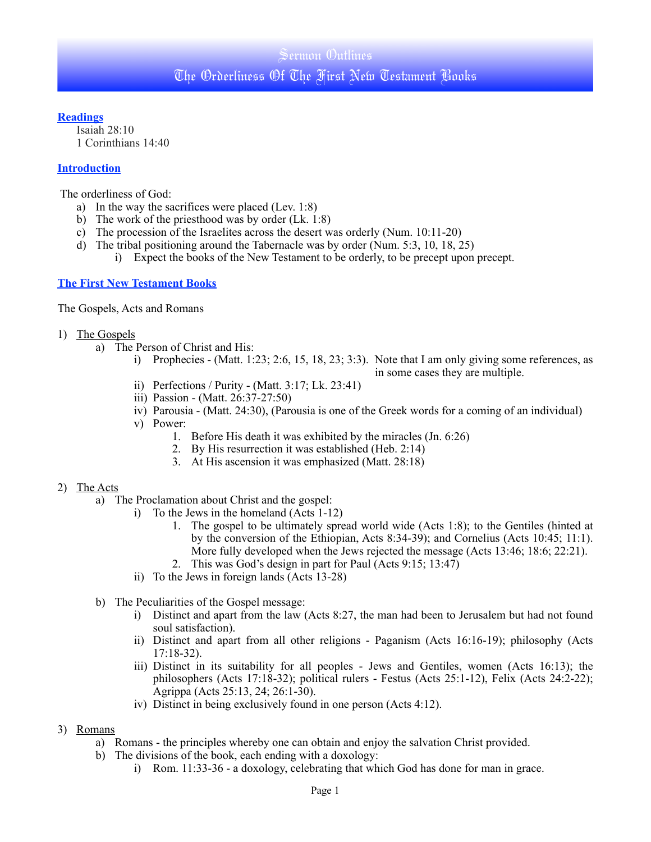### **Readings**

Isaiah 28:10 1 Corinthians 14:40

## **Introduction**

The orderliness of God:

- a) In the way the sacrifices were placed (Lev. 1:8)
- b) The work of the priesthood was by order (Lk. 1:8)
- c) The procession of the Israelites across the desert was orderly (Num. 10:11-20)
- d) The tribal positioning around the Tabernacle was by order (Num. 5:3, 10, 18, 25) i) Expect the books of the New Testament to be orderly, to be precept upon precept.

## **The First New Testament Books**

The Gospels, Acts and Romans

- 1) The Gospels
	- a) The Person of Christ and His:
		- i) Prophecies (Matt. 1:23; 2:6, 15, 18, 23; 3:3). Note that I am only giving some references, as in some cases they are multiple.
		- ii) Perfections / Purity (Matt. 3:17; Lk. 23:41)
		- iii) Passion (Matt. 26:37-27:50)
		- iv) Parousia (Matt. 24:30), (Parousia is one of the Greek words for a coming of an individual)
		- v) Power:
			- 1. Before His death it was exhibited by the miracles (Jn. 6:26)
			- 2. By His resurrection it was established (Heb. 2:14)
			- 3. At His ascension it was emphasized (Matt. 28:18)

#### 2) The Acts

- a) The Proclamation about Christ and the gospel:
	- i) To the Jews in the homeland (Acts 1-12)
		- 1. The gospel to be ultimately spread world wide (Acts 1:8); to the Gentiles (hinted at by the conversion of the Ethiopian, Acts 8:34-39); and Cornelius (Acts 10:45; 11:1). More fully developed when the Jews rejected the message (Acts 13:46; 18:6; 22:21).
		- 2. This was God's design in part for Paul (Acts 9:15; 13:47)
		- ii) To the Jews in foreign lands (Acts 13-28)
- b) The Peculiarities of the Gospel message:
	- i) Distinct and apart from the law (Acts 8:27, the man had been to Jerusalem but had not found soul satisfaction).
	- ii) Distinct and apart from all other religions Paganism (Acts 16:16-19); philosophy (Acts 17:18-32).
	- iii) Distinct in its suitability for all peoples Jews and Gentiles, women (Acts 16:13); the philosophers (Acts 17:18-32); political rulers - Festus (Acts 25:1-12), Felix (Acts 24:2-22); Agrippa (Acts 25:13, 24; 26:1-30).
	- iv) Distinct in being exclusively found in one person (Acts 4:12).
- 3) Romans
	- a) Romans the principles whereby one can obtain and enjoy the salvation Christ provided.
	- b) The divisions of the book, each ending with a doxology:
		- i) Rom. 11:33-36 a doxology, celebrating that which God has done for man in grace.